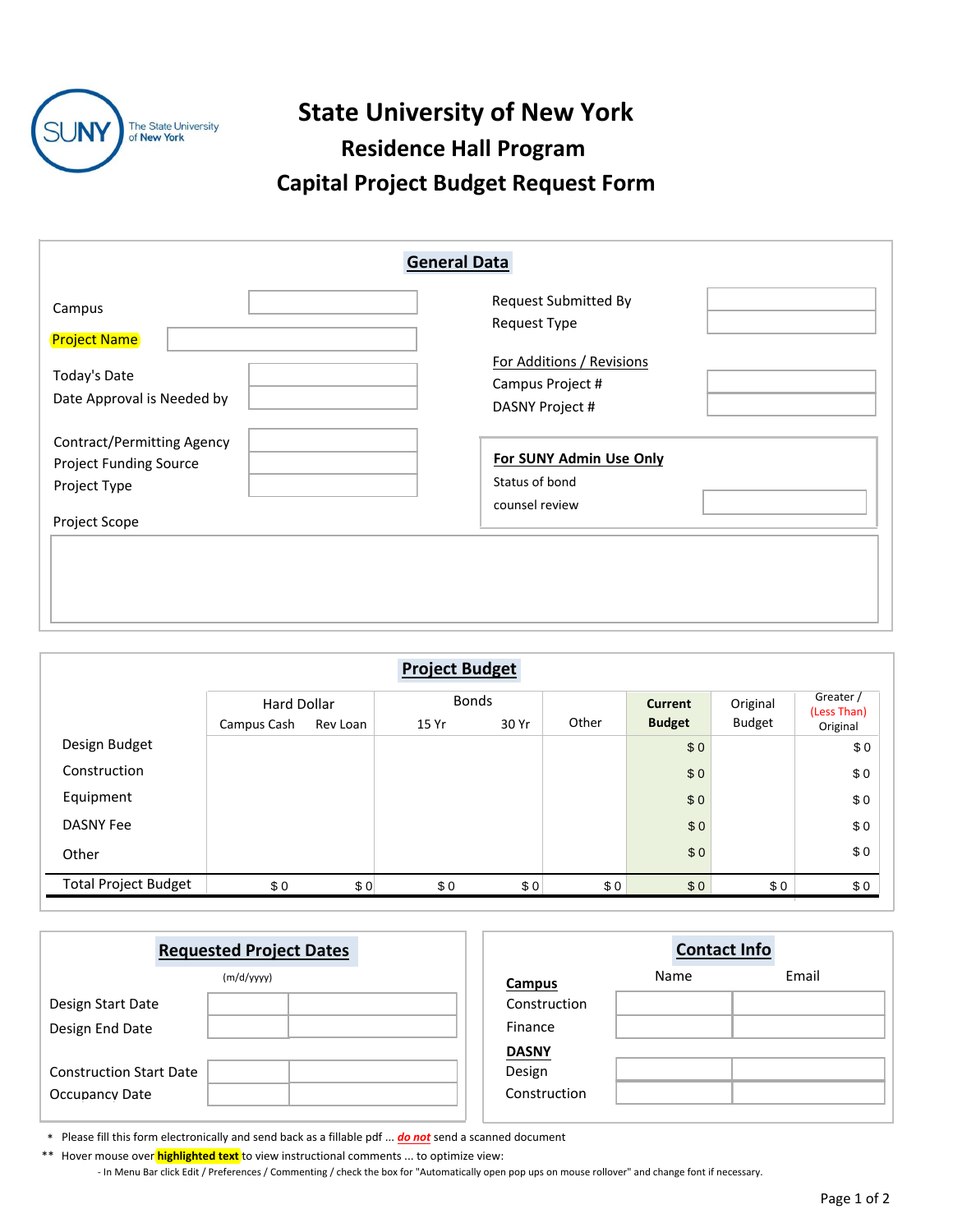

## **State University of New York Residence Hall Program**

## **Capital Project Budget Request Form**

| <b>General Data</b>                                                                |                                                                  |  |  |  |  |  |
|------------------------------------------------------------------------------------|------------------------------------------------------------------|--|--|--|--|--|
| Campus<br><b>Project Name</b>                                                      | <b>Request Submitted By</b><br>Request Type                      |  |  |  |  |  |
| Today's Date<br>Date Approval is Needed by                                         | For Additions / Revisions<br>Campus Project #<br>DASNY Project # |  |  |  |  |  |
| <b>Contract/Permitting Agency</b><br><b>Project Funding Source</b><br>Project Type | For SUNY Admin Use Only<br>Status of bond<br>counsel review      |  |  |  |  |  |
| Project Scope                                                                      |                                                                  |  |  |  |  |  |

|                             |                                   |          | <b>Project Budget</b> |       |       |                                 |                           |                                      |
|-----------------------------|-----------------------------------|----------|-----------------------|-------|-------|---------------------------------|---------------------------|--------------------------------------|
|                             | <b>Hard Dollar</b><br>Campus Cash | Rev Loan | <b>Bonds</b><br>15 Yr | 30 Yr | Other | <b>Current</b><br><b>Budget</b> | Original<br><b>Budget</b> | Greater /<br>(Less Than)<br>Original |
| Design Budget               |                                   |          |                       |       |       | \$0                             |                           | \$0                                  |
| Construction                |                                   |          |                       |       |       | \$0                             |                           | \$0                                  |
| Equipment                   |                                   |          |                       |       |       | \$0                             |                           | \$0                                  |
| <b>DASNY Fee</b>            |                                   |          |                       |       |       | \$0                             |                           | \$0                                  |
| Other                       |                                   |          |                       |       |       | \$0                             |                           | \$0                                  |
| <b>Total Project Budget</b> | \$0                               | \$0      | \$0                   | \$0   | \$0   | \$0                             | \$0                       | \$0                                  |

| <b>Requested Project Dates</b> |  |               | <b>Contact Info</b> |       |  |  |
|--------------------------------|--|---------------|---------------------|-------|--|--|
| (m/d/yyyy)                     |  | <b>Campus</b> | Name                | Email |  |  |
| Design Start Date              |  | Construction  |                     |       |  |  |
| Design End Date                |  | Finance       |                     |       |  |  |
|                                |  | <b>DASNY</b>  |                     |       |  |  |
| <b>Construction Start Date</b> |  | Design        |                     |       |  |  |
| <b>Occupancy Date</b>          |  | Construction  |                     |       |  |  |
|                                |  |               |                     |       |  |  |

\* Please fill this form electronically and send back as a fillable pdf ... *do not* send a scanned document

\*\* Hover mouse over **highlighted text** to view instructional comments ... to optimize view:

- In Menu Bar click Edit / Preferences / Commenting / check the box for "Automatically open pop ups on mouse rollover" and change font if necessary.